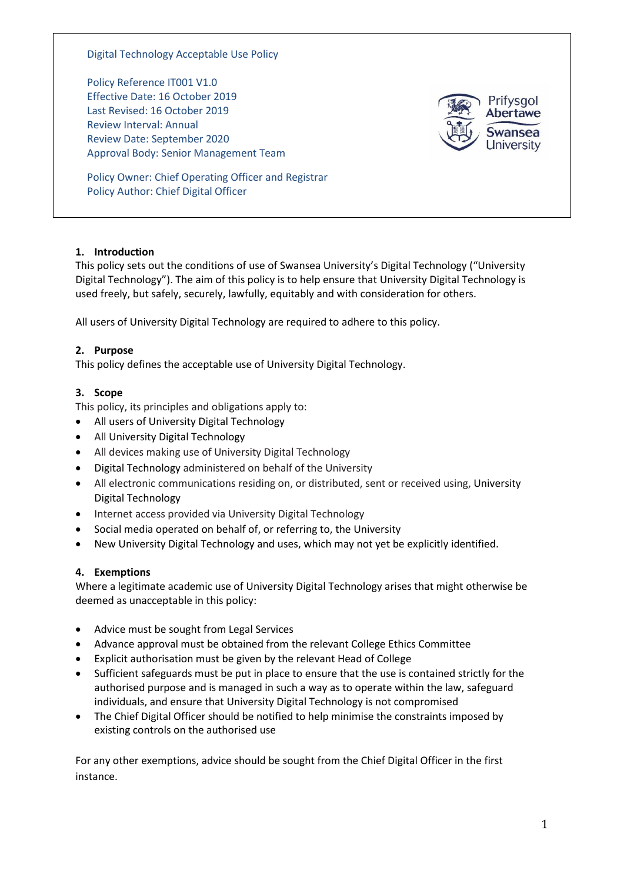#### Digital Technology Acceptable Use Policy

Policy Reference IT001 V1.0 Effective Date: 16 October 2019 Last Revised: 16 October 2019 Review Interval: Annual Review Date: September 2020 Approval Body: Senior Management Team



Policy Owner: Chief Operating Officer and Registrar Policy Author: Chief Digital Officer

## **1. Introduction**

This policy sets out the conditions of use of Swansea University's Digital Technology ("University Digital Technology"). The aim of this policy is to help ensure that University Digital Technology is used freely, but safely, securely, lawfully, equitably and with consideration for others.

All users of University Digital Technology are required to adhere to this policy.

# **2. Purpose**

This policy defines the acceptable use of University Digital Technology.

# **3. Scope**

This policy, its principles and obligations apply to:

- All users of University Digital Technology
- All University Digital Technology
- All devices making use of University Digital Technology
- Digital Technology administered on behalf of the University
- All electronic communications residing on, or distributed, sent or received using, University Digital Technology
- Internet access provided via University Digital Technology
- Social media operated on behalf of, or referring to, the University
- New University Digital Technology and uses, which may not yet be explicitly identified.

## **4. Exemptions**

Where a legitimate academic use of University Digital Technology arises that might otherwise be deemed as unacceptable in this policy:

- Advice must be sought from Legal Services
- Advance approval must be obtained from the relevant College Ethics Committee
- Explicit authorisation must be given by the relevant Head of College
- Sufficient safeguards must be put in place to ensure that the use is contained strictly for the authorised purpose and is managed in such a way as to operate within the law, safeguard individuals, and ensure that University Digital Technology is not compromised
- The Chief Digital Officer should be notified to help minimise the constraints imposed by existing controls on the authorised use

For any other exemptions, advice should be sought from the Chief Digital Officer in the first instance.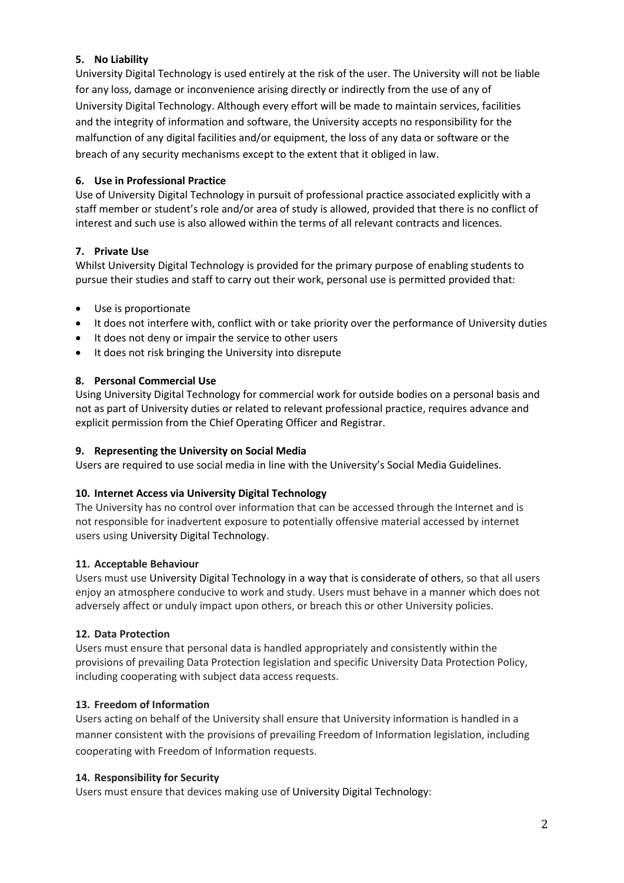## **5. No Liability**

University Digital Technology is used entirely at the risk of the user. The University will not be liable for any loss, damage or inconvenience arising directly or indirectly from the use of any of University Digital Technology. Although every effort will be made to maintain services, facilities and the integrity of information and software, the University accepts no responsibility for the malfunction of any digital facilities and/or equipment, the loss of any data or software or the breach of any security mechanisms except to the extent that it obliged in law.

# **6. Use in Professional Practice**

Use of University Digital Technology in pursuit of professional practice associated explicitly with a staff member or student's role and/or area of study is allowed, provided that there is no conflict of interest and such use is also allowed within the terms of all relevant contracts and licences.

# **7. Private Use**

Whilst University Digital Technology is provided for the primary purpose of enabling students to pursue their studies and staff to carry out their work, personal use is permitted provided that:

- Use is proportionate
- It does not interfere with, conflict with or take priority over the performance of University duties
- It does not deny or impair the service to other users
- It does not risk bringing the University into disrepute

# **8. Personal Commercial Use**

Using University Digital Technology for commercial work for outside bodies on a personal basis and not as part of University duties or related to relevant professional practice, requires advance and explicit permission from the Chief Operating Officer and Registrar.

## **9. Representing the University on Social Media**

Users are required to use social media in line with the University's Social Media Guidelines.

## **10. Internet Access via University Digital Technology**

The University has no control over information that can be accessed through the Internet and is not responsible for inadvertent exposure to potentially offensive material accessed by internet users using University Digital Technology.

## **11. Acceptable Behaviour**

Users must use University Digital Technology in a way that is considerate of others, so that all users enjoy an atmosphere conducive to work and study. Users must behave in a manner which does not adversely affect or unduly impact upon others, or breach this or other University policies.

## **12. Data Protection**

Users must ensure that personal data is handled appropriately and consistently within the provisions of prevailing Data Protection legislation and specific University Data Protection Policy, including cooperating with subject data access requests.

## **13. Freedom of Information**

Users acting on behalf of the University shall ensure that University information is handled in a manner consistent with the provisions of prevailing Freedom of Information legislation, including cooperating with Freedom of Information requests.

## **14. Responsibility for Security**

Users must ensure that devices making use of University Digital Technology: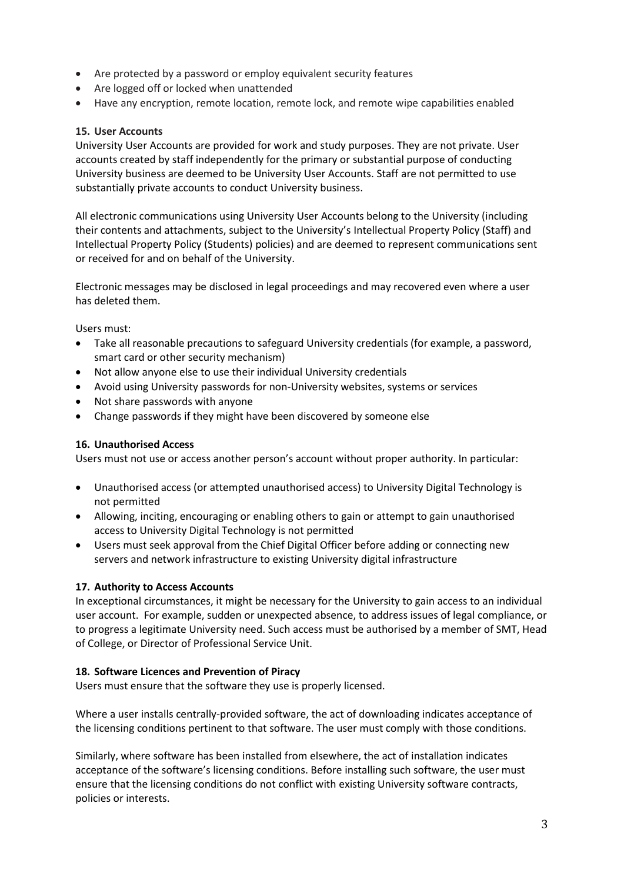- Are protected by a password or employ equivalent security features
- Are logged off or locked when unattended
- Have any encryption, remote location, remote lock, and remote wipe capabilities enabled

## **15. User Accounts**

University User Accounts are provided for work and study purposes. They are not private. User accounts created by staff independently for the primary or substantial purpose of conducting University business are deemed to be University User Accounts. Staff are not permitted to use substantially private accounts to conduct University business.

All electronic communications using University User Accounts belong to the University (including their contents and attachments, subject to the University's Intellectual Property Policy (Staff) and Intellectual Property Policy (Students) policies) and are deemed to represent communications sent or received for and on behalf of the University.

Electronic messages may be disclosed in legal proceedings and may recovered even where a user has deleted them.

Users must:

- Take all reasonable precautions to safeguard University credentials (for example, a password, smart card or other security mechanism)
- Not allow anyone else to use their individual University credentials
- Avoid using University passwords for non-University websites, systems or services
- Not share passwords with anyone
- Change passwords if they might have been discovered by someone else

#### **16. Unauthorised Access**

Users must not use or access another person's account without proper authority. In particular:

- Unauthorised access (or attempted unauthorised access) to University Digital Technology is not permitted
- Allowing, inciting, encouraging or enabling others to gain or attempt to gain unauthorised access to University Digital Technology is not permitted
- Users must seek approval from the Chief Digital Officer before adding or connecting new servers and network infrastructure to existing University digital infrastructure

#### **17. Authority to Access Accounts**

In exceptional circumstances, it might be necessary for the University to gain access to an individual user account. For example, sudden or unexpected absence, to address issues of legal compliance, or to progress a legitimate University need. Such access must be authorised by a member of SMT, Head of College, or Director of Professional Service Unit.

#### **18. Software Licences and Prevention of Piracy**

Users must ensure that the software they use is properly licensed.

Where a user installs centrally-provided software, the act of downloading indicates acceptance of the licensing conditions pertinent to that software. The user must comply with those conditions.

Similarly, where software has been installed from elsewhere, the act of installation indicates acceptance of the software's licensing conditions. Before installing such software, the user must ensure that the licensing conditions do not conflict with existing University software contracts, policies or interests.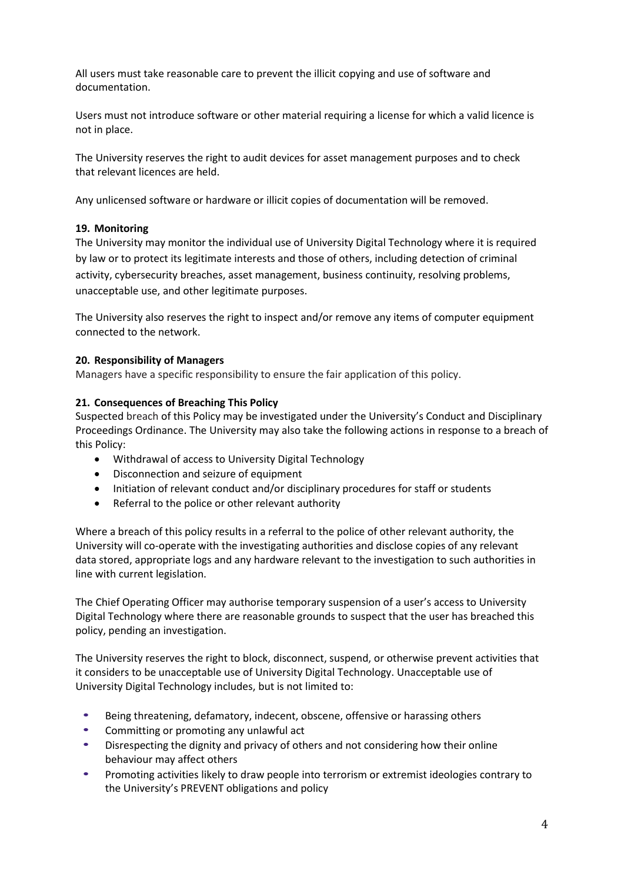All users must take reasonable care to prevent the illicit copying and use of software and documentation.

Users must not introduce software or other material requiring a license for which a valid licence is not in place.

The University reserves the right to audit devices for asset management purposes and to check that relevant licences are held.

Any unlicensed software or hardware or illicit copies of documentation will be removed.

#### **19. Monitoring**

The University may monitor the individual use of University Digital Technology where it is required by law or to protect its legitimate interests and those of others, including detection of criminal activity, cybersecurity breaches, asset management, business continuity, resolving problems, unacceptable use, and other legitimate purposes.

The University also reserves the right to inspect and/or remove any items of computer equipment connected to the network.

#### **20. Responsibility of Managers**

Managers have a specific responsibility to ensure the fair application of this policy.

#### **21. Consequences of Breaching This Policy**

Suspected breach of this Policy may be investigated under the University's Conduct and Disciplinary Proceedings Ordinance. The University may also take the following actions in response to a breach of this Policy:

- Withdrawal of access to University Digital Technology
- Disconnection and seizure of equipment
- Initiation of relevant conduct and/or disciplinary procedures for staff or students
- Referral to the police or other relevant authority

Where a breach of this policy results in a referral to the police of other relevant authority, the University will co-operate with the investigating authorities and disclose copies of any relevant data stored, appropriate logs and any hardware relevant to the investigation to such authorities in line with current legislation.

The Chief Operating Officer may authorise temporary suspension of a user's access to University Digital Technology where there are reasonable grounds to suspect that the user has breached this policy, pending an investigation.

The University reserves the right to block, disconnect, suspend, or otherwise prevent activities that it considers to be unacceptable use of University Digital Technology. Unacceptable use of University Digital Technology includes, but is not limited to:

- Being threatening, defamatory, indecent, obscene, offensive or harassing others
- Committing or promoting any unlawful act
- Disrespecting the dignity and privacy of others and not considering how their online behaviour may affect others
- Promoting activities likely to draw people into terrorism or extremist ideologies contrary to the University's PREVENT obligations and policy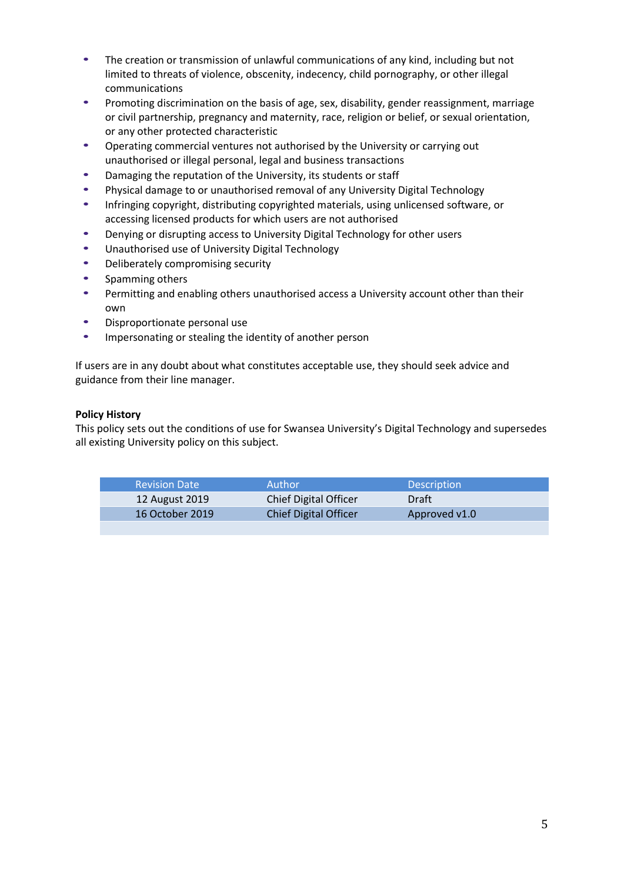- The creation or transmission of unlawful communications of any kind, including but not limited to threats of violence, obscenity, indecency, child pornography, or other illegal communications
- Promoting discrimination on the basis of age, sex, disability, gender reassignment, marriage or civil partnership, pregnancy and maternity, race, religion or belief, or sexual orientation, or any other protected characteristic
- Operating commercial ventures not authorised by the University or carrying out unauthorised or illegal personal, legal and business transactions
- Damaging the reputation of the University, its students or staff
- Physical damage to or unauthorised removal of any University Digital Technology
- Infringing copyright, distributing copyrighted materials, using unlicensed software, or accessing licensed products for which users are not authorised
- Denying or disrupting access to University Digital Technology for other users
- Unauthorised use of University Digital Technology
- Deliberately compromising security
- Spamming others
- Permitting and enabling others unauthorised access a University account other than their own
- Disproportionate personal use
- Impersonating or stealing the identity of another person

If users are in any doubt about what constitutes acceptable use, they should seek advice and guidance from their line manager.

## **Policy History**

This policy sets out the conditions of use for Swansea University's Digital Technology and supersedes all existing University policy on this subject.

| <b>Revision Date</b> | Author                       | <b>Description</b> |
|----------------------|------------------------------|--------------------|
| 12 August 2019       | <b>Chief Digital Officer</b> | Draft              |
| 16 October 2019      | <b>Chief Digital Officer</b> | Approved v1.0      |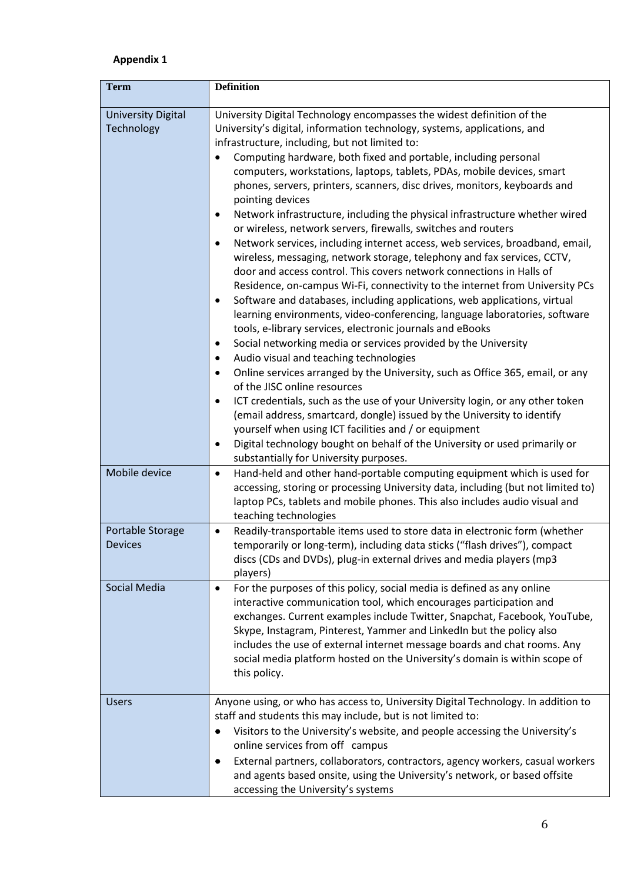# **Appendix 1**

| <b>Term</b>                             | <b>Definition</b>                                                                                                                                                                                                                                                                                                                                                                                                                                                                                                                                                                                                                                                                                                                                                                                                                                                                                                                                                                                                                                                                                                                                                                                                                                                                                                                                                                                                                                                                                                                                                                                                                                                                                                                                                                            |
|-----------------------------------------|----------------------------------------------------------------------------------------------------------------------------------------------------------------------------------------------------------------------------------------------------------------------------------------------------------------------------------------------------------------------------------------------------------------------------------------------------------------------------------------------------------------------------------------------------------------------------------------------------------------------------------------------------------------------------------------------------------------------------------------------------------------------------------------------------------------------------------------------------------------------------------------------------------------------------------------------------------------------------------------------------------------------------------------------------------------------------------------------------------------------------------------------------------------------------------------------------------------------------------------------------------------------------------------------------------------------------------------------------------------------------------------------------------------------------------------------------------------------------------------------------------------------------------------------------------------------------------------------------------------------------------------------------------------------------------------------------------------------------------------------------------------------------------------------|
| <b>University Digital</b><br>Technology | University Digital Technology encompasses the widest definition of the<br>University's digital, information technology, systems, applications, and<br>infrastructure, including, but not limited to:<br>Computing hardware, both fixed and portable, including personal<br>$\bullet$<br>computers, workstations, laptops, tablets, PDAs, mobile devices, smart<br>phones, servers, printers, scanners, disc drives, monitors, keyboards and<br>pointing devices<br>Network infrastructure, including the physical infrastructure whether wired<br>٠<br>or wireless, network servers, firewalls, switches and routers<br>Network services, including internet access, web services, broadband, email,<br>٠<br>wireless, messaging, network storage, telephony and fax services, CCTV,<br>door and access control. This covers network connections in Halls of<br>Residence, on-campus Wi-Fi, connectivity to the internet from University PCs<br>Software and databases, including applications, web applications, virtual<br>٠<br>learning environments, video-conferencing, language laboratories, software<br>tools, e-library services, electronic journals and eBooks<br>Social networking media or services provided by the University<br>٠<br>Audio visual and teaching technologies<br>$\bullet$<br>Online services arranged by the University, such as Office 365, email, or any<br>$\bullet$<br>of the JISC online resources<br>ICT credentials, such as the use of your University login, or any other token<br>٠<br>(email address, smartcard, dongle) issued by the University to identify<br>yourself when using ICT facilities and / or equipment<br>Digital technology bought on behalf of the University or used primarily or<br>٠<br>substantially for University purposes. |
| Mobile device                           | Hand-held and other hand-portable computing equipment which is used for<br>$\bullet$<br>accessing, storing or processing University data, including (but not limited to)<br>laptop PCs, tablets and mobile phones. This also includes audio visual and<br>teaching technologies                                                                                                                                                                                                                                                                                                                                                                                                                                                                                                                                                                                                                                                                                                                                                                                                                                                                                                                                                                                                                                                                                                                                                                                                                                                                                                                                                                                                                                                                                                              |
| Portable Storage<br><b>Devices</b>      | Readily-transportable items used to store data in electronic form (whether<br>$\bullet$<br>temporarily or long-term), including data sticks ("flash drives"), compact<br>discs (CDs and DVDs), plug-in external drives and media players (mp3<br>players)                                                                                                                                                                                                                                                                                                                                                                                                                                                                                                                                                                                                                                                                                                                                                                                                                                                                                                                                                                                                                                                                                                                                                                                                                                                                                                                                                                                                                                                                                                                                    |
| Social Media                            | For the purposes of this policy, social media is defined as any online<br>$\bullet$<br>interactive communication tool, which encourages participation and<br>exchanges. Current examples include Twitter, Snapchat, Facebook, YouTube,<br>Skype, Instagram, Pinterest, Yammer and LinkedIn but the policy also<br>includes the use of external internet message boards and chat rooms. Any<br>social media platform hosted on the University's domain is within scope of<br>this policy.                                                                                                                                                                                                                                                                                                                                                                                                                                                                                                                                                                                                                                                                                                                                                                                                                                                                                                                                                                                                                                                                                                                                                                                                                                                                                                     |
| <b>Users</b>                            | Anyone using, or who has access to, University Digital Technology. In addition to<br>staff and students this may include, but is not limited to:<br>Visitors to the University's website, and people accessing the University's<br>online services from off campus<br>External partners, collaborators, contractors, agency workers, casual workers<br>and agents based onsite, using the University's network, or based offsite<br>accessing the University's systems                                                                                                                                                                                                                                                                                                                                                                                                                                                                                                                                                                                                                                                                                                                                                                                                                                                                                                                                                                                                                                                                                                                                                                                                                                                                                                                       |